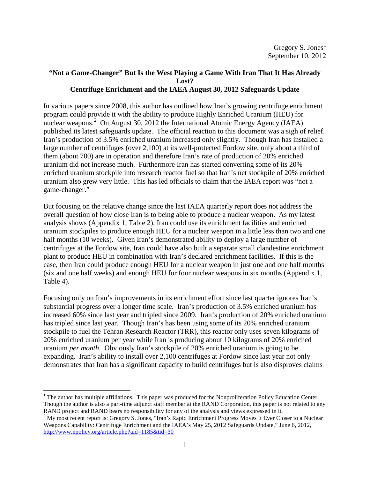# **"Not a Game-Changer" But Is the West Playing a Game With Iran That It Has Already Lost? Centrifuge Enrichment and the IAEA August 30, 2012 Safeguards Update**

In various papers since 2008, this author has outlined how Iran's growing centrifuge enrichment program could provide it with the ability to produce Highly Enriched Uranium (HEU) for nuclear weapons.<sup>[2](#page-0-1)</sup> On August 30, 2012 the International Atomic Energy Agency (IAEA) published its latest safeguards update. The official reaction to this document was a sigh of relief. Iran's production of 3.5% enriched uranium increased only slightly. Though Iran has installed a large number of centrifuges (over 2,100) at its well-protected Fordow site, only about a third of them (about 700) are in operation and therefore Iran's rate of production of 20% enriched uranium did not increase much. Furthermore Iran has started converting some of its 20% enriched uranium stockpile into research reactor fuel so that Iran's net stockpile of 20% enriched uranium also grew very little. This has led officials to claim that the IAEA report was "not a game-changer."

But focusing on the relative change since the last IAEA quarterly report does not address the overall question of how close Iran is to being able to produce a nuclear weapon. As my latest analysis shows (Appendix 1, Table 2), Iran could use its enrichment facilities and enriched uranium stockpiles to produce enough HEU for a nuclear weapon in a little less than two and one half months (10 weeks). Given Iran's demonstrated ability to deploy a large number of centrifuges at the Fordow site, Iran could have also built a separate small clandestine enrichment plant to produce HEU in combination with Iran's declared enrichment facilities. If this is the case, then Iran could produce enough HEU for a nuclear weapon in just one and one half months (six and one half weeks) and enough HEU for four nuclear weapons in six months (Appendix 1, Table 4).

Focusing only on Iran's improvements in its enrichment effort since last quarter ignores Iran's substantial progress over a longer time scale. Iran's production of 3.5% enriched uranium has increased 60% since last year and tripled since 2009. Iran's production of 20% enriched uranium has tripled since last year. Though Iran's has been using some of its 20% enriched uranium stockpile to fuel the Tehran Research Reactor (TRR), this reactor only uses seven kilograms of 20% enriched uranium per year while Iran is producing about 10 kilograms of 20% enriched uranium *per month*. Obviously Iran's stockpile of 20% enriched uranium is going to be expanding. Iran's ability to install over 2,100 centrifuges at Fordow since last year not only demonstrates that Iran has a significant capacity to build centrifuges but is also disproves claims

<span id="page-0-0"></span> $<sup>1</sup>$  The author has multiple affiliations. This paper was produced for the Nonproliferation Policy Education Center.</sup> Though the author is also a part-time adjunct staff member at the RAND Corporation, this paper is not related to any RAND project and RAND bears no responsibility for any of the analysis and views expressed in it.<br><sup>2</sup> My most recent report is: Gregory S. Jones, "Iran's Rapid Enrichment Progress Moves It Ever Closer to a Nuclear

<span id="page-0-1"></span>Weapons Capability: Centrifuge Enrichment and the IAEA's May 25, 2012 Safeguards Update," June 6, 2012, <http://www.npolicy.org/article.php?aid=1185&tid=30>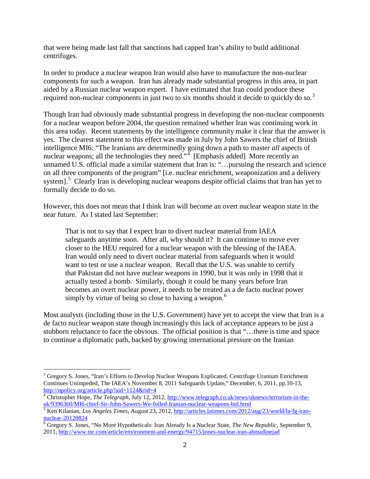that were being made last fall that sanctions had capped Iran's ability to build additional centrifuges.

In order to produce a nuclear weapon Iran would also have to manufacture the non-nuclear components for such a weapon. Iran has already made substantial progress in this area, in part aided by a Russian nuclear weapon expert. I have estimated that Iran could produce these required non-nuclear components in just two to six months should it decide to quickly do so.<sup>[3](#page-1-0)</sup>

Though Iran had obviously made substantial progress in developing the non-nuclear components for a nuclear weapon before 2004, the question remained whether Iran was continuing work in this area today. Recent statements by the intelligence community make it clear that the answer is yes. The clearest statement to this effect was made in July by John Sawers the chief of British intelligence MI6: "The Iranians are determinedly going down a path to master *all* aspects of nuclear weapons; all the technologies they need." [Emphasis added] More recently an unnamed U.S. official made a similar statement that Iran is: "…pursuing the research and science on all three components of the program" [i.e. nuclear enrichment, weaponization and a delivery system].<sup>[5](#page-1-2)</sup> Clearly Iran is developing nuclear weapons despite official claims that Iran has yet to formally decide to do so.

However, this does not mean that I think Iran will become an overt nuclear weapon state in the near future. As I stated last September:

That is not to say that I expect Iran to divert nuclear material from IAEA safeguards anytime soon. After all, why should it? It can continue to move ever closer to the HEU required for a nuclear weapon with the blessing of the IAEA. Iran would only need to divert nuclear material from safeguards when it would want to test or use a nuclear weapon. Recall that the U.S. was unable to certify that Pakistan did not have nuclear weapons in 1990, but it was only in 1998 that it actually tested a bomb. Similarly, though it could be many years before Iran becomes an overt nuclear power, it needs to be treated as a de facto nuclear power simply by virtue of being so close to having a weapon.<sup>[6](#page-1-3)</sup>

Most analysts (including those in the U.S. Government) have yet to accept the view that Iran is a de facto nuclear weapon state though increasingly this lack of acceptance appears to be just a stubborn reluctance to face the obvious. The official position is that "…there is time and space to continue a diplomatic path, backed by growing international pressure on the Iranian

<span id="page-1-0"></span><sup>&</sup>lt;sup>3</sup> Gregory S. Jones, "Iran's Efforts to Develop Nuclear Weapons Explicated, Centrifuge Uranium Enrichment Continues Unimpeded, The IAEA's November 8, 2011 Safeguards Update," December, 6, 2011, pp.10-13, <http://npolicy.org/article.php?aid=1124&rid=4>

<span id="page-1-1"></span><sup>&</sup>lt;sup>4</sup> Christopher Hope, *The Telegraph*, July 12, 2012, <u>http://www.telegraph.co.uk/news/uknews/terrorism-in-the-uk/9396360/MI6-chief-Sir-John-Sawers-We-foiled-Iranian-nuclear-weapons-bid.html</u>

<span id="page-1-2"></span><sup>&</sup>lt;sup>5</sup> Ken Kilanian, *Los Angeles Times*, August 23, 2012[, http://articles.latimes.com/2012/aug/23/world/la-fg-iran](http://articles.latimes.com/2012/aug/23/world/la-fg-iran-nuclear-20120824)[nuclear-20120824](http://articles.latimes.com/2012/aug/23/world/la-fg-iran-nuclear-20120824)<br><sup>6</sup> Gregory S. Jones, "No More Hypotheticals: Iran Already Is a Nuclear State, *The New Republic*, September 9,

<span id="page-1-3"></span><sup>2011,</sup><http://www.tnr.com/article/environment-and-energy/94715/jones-nuclear-iran-ahmadinejad>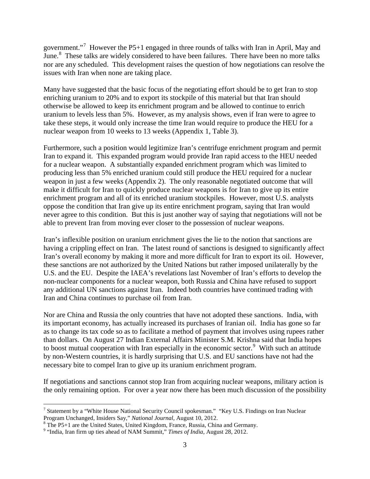government."<sup>[7](#page-2-0)</sup> However the P5+1 engaged in three rounds of talks with Iran in April, May and June.<sup>[8](#page-2-1)</sup> These talks are widely considered to have been failures. There have been no more talks nor are any scheduled. This development raises the question of how negotiations can resolve the issues with Iran when none are taking place.

Many have suggested that the basic focus of the negotiating effort should be to get Iran to stop enriching uranium to 20% and to export its stockpile of this material but that Iran should otherwise be allowed to keep its enrichment program and be allowed to continue to enrich uranium to levels less than 5%. However, as my analysis shows, even if Iran were to agree to take these steps, it would only increase the time Iran would require to produce the HEU for a nuclear weapon from 10 weeks to 13 weeks (Appendix 1, Table 3).

Furthermore, such a position would legitimize Iran's centrifuge enrichment program and permit Iran to expand it. This expanded program would provide Iran rapid access to the HEU needed for a nuclear weapon. A substantially expanded enrichment program which was limited to producing less than 5% enriched uranium could still produce the HEU required for a nuclear weapon in just a few weeks (Appendix 2). The only reasonable negotiated outcome that will make it difficult for Iran to quickly produce nuclear weapons is for Iran to give up its entire enrichment program and all of its enriched uranium stockpiles. However, most U.S. analysts oppose the condition that Iran give up its entire enrichment program, saying that Iran would never agree to this condition. But this is just another way of saying that negotiations will not be able to prevent Iran from moving ever closer to the possession of nuclear weapons.

Iran's inflexible position on uranium enrichment gives the lie to the notion that sanctions are having a crippling effect on Iran. The latest round of sanctions is designed to significantly affect Iran's overall economy by making it more and more difficult for Iran to export its oil. However, these sanctions are not authorized by the United Nations but rather imposed unilaterally by the U.S. and the EU. Despite the IAEA's revelations last November of Iran's efforts to develop the non-nuclear components for a nuclear weapon, both Russia and China have refused to support any additional UN sanctions against Iran. Indeed both countries have continued trading with Iran and China continues to purchase oil from Iran.

Nor are China and Russia the only countries that have not adopted these sanctions. India, with its important economy, has actually increased its purchases of Iranian oil. India has gone so far as to change its tax code so as to facilitate a method of payment that involves using rupees rather than dollars. On August 27 Indian External Affairs Minister S.M. Krishna said that India hopes to boost mutual cooperation with Iran especially in the economic sector.<sup>[9](#page-2-2)</sup> With such an attitude by non-Western countries, it is hardly surprising that U.S. and EU sanctions have not had the necessary bite to compel Iran to give up its uranium enrichment program.

If negotiations and sanctions cannot stop Iran from acquiring nuclear weapons, military action is the only remaining option. For over a year now there has been much discussion of the possibility

<span id="page-2-0"></span><sup>&</sup>lt;sup>7</sup> Statement by a "White House National Security Council spokesman." "Key U.S. Findings on Iran Nuclear Program Unchanged, Insiders Say," *National Journal*, August 10, 2012.<br><sup>8</sup> The P5+1 are the United States, United Kingdom, France, Russia, China and Germany.<br><sup>9</sup> "India, Iran firm up ties ahead of NAM Summit," *Times of In* 

<span id="page-2-1"></span>

<span id="page-2-2"></span>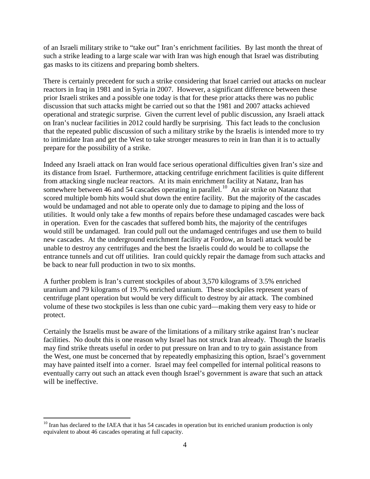of an Israeli military strike to "take out" Iran's enrichment facilities. By last month the threat of such a strike leading to a large scale war with Iran was high enough that Israel was distributing gas masks to its citizens and preparing bomb shelters.

There is certainly precedent for such a strike considering that Israel carried out attacks on nuclear reactors in Iraq in 1981 and in Syria in 2007. However, a significant difference between these prior Israeli strikes and a possible one today is that for these prior attacks there was no public discussion that such attacks might be carried out so that the 1981 and 2007 attacks achieved operational and strategic surprise. Given the current level of public discussion, any Israeli attack on Iran's nuclear facilities in 2012 could hardly be surprising. This fact leads to the conclusion that the repeated public discussion of such a military strike by the Israelis is intended more to try to intimidate Iran and get the West to take stronger measures to rein in Iran than it is to actually prepare for the possibility of a strike.

Indeed any Israeli attack on Iran would face serious operational difficulties given Iran's size and its distance from Israel. Furthermore, attacking centrifuge enrichment facilities is quite different from attacking single nuclear reactors. At its main enrichment facility at Natanz, Iran has somewhere between 46 and 54 cascades operating in parallel.<sup>[10](#page-3-0)</sup> An air strike on Natanz that scored multiple bomb hits would shut down the entire facility. But the majority of the cascades would be undamaged and not able to operate only due to damage to piping and the loss of utilities. It would only take a few months of repairs before these undamaged cascades were back in operation. Even for the cascades that suffered bomb hits, the majority of the centrifuges would still be undamaged. Iran could pull out the undamaged centrifuges and use them to build new cascades. At the underground enrichment facility at Fordow, an Israeli attack would be unable to destroy any centrifuges and the best the Israelis could do would be to collapse the entrance tunnels and cut off utilities. Iran could quickly repair the damage from such attacks and be back to near full production in two to six months.

A further problem is Iran's current stockpiles of about 3,570 kilograms of 3.5% enriched uranium and 79 kilograms of 19.7% enriched uranium. These stockpiles represent years of centrifuge plant operation but would be very difficult to destroy by air attack. The combined volume of these two stockpiles is less than one cubic yard—making them very easy to hide or protect.

Certainly the Israelis must be aware of the limitations of a military strike against Iran's nuclear facilities. No doubt this is one reason why Israel has not struck Iran already. Though the Israelis may find strike threats useful in order to put pressure on Iran and to try to gain assistance from the West, one must be concerned that by repeatedly emphasizing this option, Israel's government may have painted itself into a corner. Israel may feel compelled for internal political reasons to eventually carry out such an attack even though Israel's government is aware that such an attack will be ineffective.

<span id="page-3-0"></span> $10$  Iran has declared to the IAEA that it has 54 cascades in operation but its enriched uranium production is only equivalent to about 46 cascades operating at full capacity.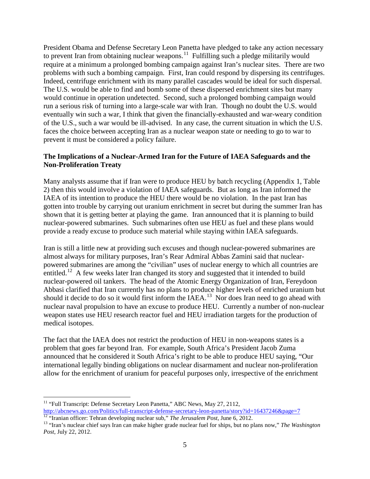President Obama and Defense Secretary Leon Panetta have pledged to take any action necessary to prevent Iran from obtaining nuclear weapons.<sup>[11](#page-4-0)</sup> Fulfilling such a pledge militarily would require at a minimum a prolonged bombing campaign against Iran's nuclear sites. There are two problems with such a bombing campaign. First, Iran could respond by dispersing its centrifuges. Indeed, centrifuge enrichment with its many parallel cascades would be ideal for such dispersal. The U.S. would be able to find and bomb some of these dispersed enrichment sites but many would continue in operation undetected. Second, such a prolonged bombing campaign would run a serious risk of turning into a large-scale war with Iran. Though no doubt the U.S. would eventually win such a war, I think that given the financially-exhausted and war-weary condition of the U.S., such a war would be ill-advised. In any case, the current situation in which the U.S. faces the choice between accepting Iran as a nuclear weapon state or needing to go to war to prevent it must be considered a policy failure.

# **The Implications of a Nuclear-Armed Iran for the Future of IAEA Safeguards and the Non-Proliferation Treaty**

Many analysts assume that if Iran were to produce HEU by batch recycling (Appendix 1, Table 2) then this would involve a violation of IAEA safeguards. But as long as Iran informed the IAEA of its intention to produce the HEU there would be no violation. In the past Iran has gotten into trouble by carrying out uranium enrichment in secret but during the summer Iran has shown that it is getting better at playing the game. Iran announced that it is planning to build nuclear-powered submarines. Such submarines often use HEU as fuel and these plans would provide a ready excuse to produce such material while staying within IAEA safeguards.

Iran is still a little new at providing such excuses and though nuclear-powered submarines are almost always for military purposes, Iran's Rear Admiral Abbas Zamini said that nuclearpowered submarines are among the "civilian" uses of nuclear energy to which all countries are entitled.<sup>12</sup> A few weeks later Iran changed its story and suggested that it intended to build nuclear-powered oil tankers. The head of the Atomic Energy Organization of Iran, Fereydoon Abbasi clarified that Iran currently has no plans to produce higher levels of enriched uranium but should it decide to do so it would first inform the IAEA.<sup>13</sup> Nor does Iran need to go ahead with nuclear naval propulsion to have an excuse to produce HEU. Currently a number of non-nuclear weapon states use HEU research reactor fuel and HEU irradiation targets for the production of medical isotopes.

The fact that the IAEA does not restrict the production of HEU in non-weapons states is a problem that goes far beyond Iran. For example, South Africa's President Jacob Zuma announced that he considered it South Africa's right to be able to produce HEU saying, "Our international legally binding obligations on nuclear disarmament and nuclear non-proliferation allow for the enrichment of uranium for peaceful purposes only, irrespective of the enrichment

<span id="page-4-0"></span><sup>&</sup>lt;sup>11</sup> "Full Transcript: Defense Secretary Leon Panetta," ABC News, May 27, 2112,<br>http://abcnews.go.com/Politics/full-transcript-defense-secretary-leon-panetta/story?id=16437246&page=7

<span id="page-4-2"></span><span id="page-4-1"></span><sup>&</sup>lt;sup>12</sup> "Iranian officer: Tehran developing nuclear sub," *The Jerusalem Post*, June 6, 2012.<br><sup>13</sup> "Iran's nuclear chief says Iran can make higher grade nuclear fuel for ships, but no plans now," *The Washington Post*, July 22, 2012.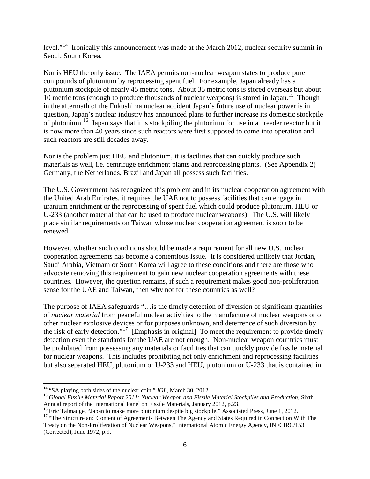level."<sup>[14](#page-5-0)</sup> Ironically this announcement was made at the March 2012, nuclear security summit in Seoul, South Korea.

Nor is HEU the only issue. The IAEA permits non-nuclear weapon states to produce pure compounds of plutonium by reprocessing spent fuel. For example, Japan already has a plutonium stockpile of nearly 45 metric tons. About 35 metric tons is stored overseas but about 10 metric tons (enough to produce thousands of nuclear weapons) is stored in Japan.<sup>[15](#page-5-1)</sup> Though in the aftermath of the Fukushima nuclear accident Japan's future use of nuclear power is in question, Japan's nuclear industry has announced plans to further increase its domestic stockpile of plutonium.<sup>[16](#page-5-2)</sup> Japan says that it is stockpiling the plutonium for use in a breeder reactor but it is now more than 40 years since such reactors were first supposed to come into operation and such reactors are still decades away.

Nor is the problem just HEU and plutonium, it is facilities that can quickly produce such materials as well, i.e. centrifuge enrichment plants and reprocessing plants. (See Appendix 2) Germany, the Netherlands, Brazil and Japan all possess such facilities.

The U.S. Government has recognized this problem and in its nuclear cooperation agreement with the United Arab Emirates, it requires the UAE not to possess facilities that can engage in uranium enrichment or the reprocessing of spent fuel which could produce plutonium, HEU or U-233 (another material that can be used to produce nuclear weapons). The U.S. will likely place similar requirements on Taiwan whose nuclear cooperation agreement is soon to be renewed.

However, whether such conditions should be made a requirement for all new U.S. nuclear cooperation agreements has become a contentious issue. It is considered unlikely that Jordan, Saudi Arabia, Vietnam or South Korea will agree to these conditions and there are those who advocate removing this requirement to gain new nuclear cooperation agreements with these countries. However, the question remains, if such a requirement makes good non-proliferation sense for the UAE and Taiwan, then why not for these countries as well?

The purpose of IAEA safeguards "…is the timely detection of diversion of significant quantities of *nuclear material* from peaceful nuclear activities to the manufacture of nuclear weapons or of other nuclear explosive devices or for purposes unknown, and deterrence of such diversion by the risk of early detection."[17](#page-5-3) [Emphasis in original] To meet the requirement to provide timely detection even the standards for the UAE are not enough. Non-nuclear weapon countries must be prohibited from possessing any materials or facilities that can quickly provide fissile material for nuclear weapons. This includes prohibiting not only enrichment and reprocessing facilities but also separated HEU, plutonium or U-233 and HEU, plutonium or U-233 that is contained in

<span id="page-5-1"></span><span id="page-5-0"></span><sup>&</sup>lt;sup>14</sup> "SA playing both sides of the nuclear coin," *IOL*, March 30, 2012.<br><sup>15</sup> *Global Fissile Material Report 2011: Nuclear Weapon and Fissile Material Stockpiles and Production*, Sixth<br>Annual report of the International P

<span id="page-5-3"></span>

<span id="page-5-2"></span><sup>&</sup>lt;sup>16</sup> Eric Talmadge, "Japan to make more plutonium despite big stockpile," Associated Press, June 1, 2012.<br><sup>17</sup> "The Structure and Content of Agreements Between The Agency and States Required in Connection With The Treaty on the Non-Proliferation of Nuclear Weapons," International Atomic Energy Agency, INFCIRC/153 (Corrected), June 1972, p.9.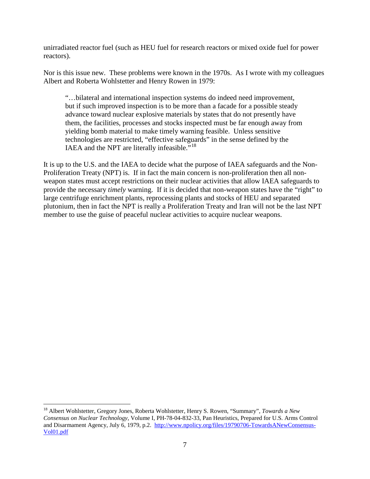unirradiated reactor fuel (such as HEU fuel for research reactors or mixed oxide fuel for power reactors).

Nor is this issue new. These problems were known in the 1970s. As I wrote with my colleagues Albert and Roberta Wohlstetter and Henry Rowen in 1979:

"…bilateral and international inspection systems do indeed need improvement, but if such improved inspection is to be more than a facade for a possible steady advance toward nuclear explosive materials by states that do not presently have them, the facilities, processes and stocks inspected must be far enough away from yielding bomb material to make timely warning feasible. Unless sensitive technologies are restricted, "effective safeguards" in the sense defined by the IAEA and the NPT are literally infeasible."<sup>18</sup>

It is up to the U.S. and the IAEA to decide what the purpose of IAEA safeguards and the Non-Proliferation Treaty (NPT) is. If in fact the main concern is non-proliferation then all nonweapon states must accept restrictions on their nuclear activities that allow IAEA safeguards to provide the necessary *timely* warning. If it is decided that non-weapon states have the "right" to large centrifuge enrichment plants, reprocessing plants and stocks of HEU and separated plutonium, then in fact the NPT is really a Proliferation Treaty and Iran will not be the last NPT member to use the guise of peaceful nuclear activities to acquire nuclear weapons.

<span id="page-6-0"></span> <sup>18</sup> Albert Wohlstetter, Gregory Jones, Roberta Wohlstetter, Henry S. Rowen, "Summary", *Towards a New Consensus on Nuclear Technology*, Volume I, PH-78-04-832-33, Pan Heuristics, Prepared for U.S. Arms Control and Disarmament Agency, July 6, 1979, p.2. [http://www.npolicy.org/files/19790706-TowardsANewConsensus-](http://www.npolicy.org/files/19790706-TowardsANewConsensus-Vol01.pdf)[Vol01.pdf](http://www.npolicy.org/files/19790706-TowardsANewConsensus-Vol01.pdf)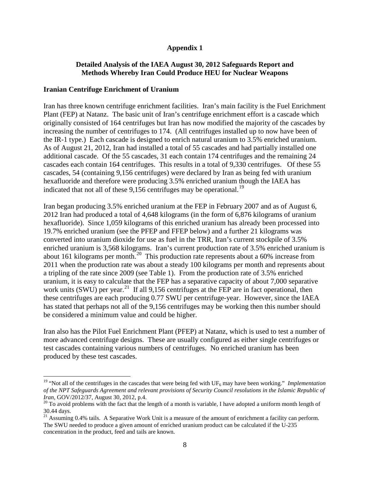# **Appendix 1**

## **Detailed Analysis of the IAEA August 30, 2012 Safeguards Report and Methods Whereby Iran Could Produce HEU for Nuclear Weapons**

### **Iranian Centrifuge Enrichment of Uranium**

Iran has three known centrifuge enrichment facilities. Iran's main facility is the Fuel Enrichment Plant (FEP) at Natanz. The basic unit of Iran's centrifuge enrichment effort is a cascade which originally consisted of 164 centrifuges but Iran has now modified the majority of the cascades by increasing the number of centrifuges to 174. (All centrifuges installed up to now have been of the IR-1 type.) Each cascade is designed to enrich natural uranium to 3.5% enriched uranium. As of August 21, 2012, Iran had installed a total of 55 cascades and had partially installed one additional cascade. Of the 55 cascades, 31 each contain 174 centrifuges and the remaining 24 cascades each contain 164 centrifuges. This results in a total of 9,330 centrifuges. Of these 55 cascades, 54 (containing 9,156 centrifuges) were declared by Iran as being fed with uranium hexafluoride and therefore were producing 3.5% enriched uranium though the IAEA has indicated that not all of these  $9,156$  centrifuges may be operational.<sup>19</sup>

Iran began producing 3.5% enriched uranium at the FEP in February 2007 and as of August 6, 2012 Iran had produced a total of 4,648 kilograms (in the form of 6,876 kilograms of uranium hexafluoride). Since 1,059 kilograms of this enriched uranium has already been processed into 19.7% enriched uranium (see the PFEP and FFEP below) and a further 21 kilograms was converted into uranium dioxide for use as fuel in the TRR, Iran's current stockpile of 3.5% enriched uranium is 3,568 kilograms. Iran's current production rate of 3.5% enriched uranium is about 161 kilograms per month.<sup>[20](#page-7-1)</sup> This production rate represents about a 60% increase from 2011 when the production rate was about a steady 100 kilograms per month and represents about a tripling of the rate since 2009 (see Table 1). From the production rate of 3.5% enriched uranium, it is easy to calculate that the FEP has a separative capacity of about 7,000 separative work units (SWU) per year.<sup>[21](#page-7-2)</sup> If all 9,156 centrifuges at the FEP are in fact operational, then these centrifuges are each producing 0.77 SWU per centrifuge-year. However, since the IAEA has stated that perhaps not all of the 9,156 centrifuges may be working then this number should be considered a minimum value and could be higher.

Iran also has the Pilot Fuel Enrichment Plant (PFEP) at Natanz, which is used to test a number of more advanced centrifuge designs. These are usually configured as either single centrifuges or test cascades containing various numbers of centrifuges. No enriched uranium has been produced by these test cascades.

<span id="page-7-0"></span><sup>&</sup>lt;sup>19</sup> "Not all of the centrifuges in the cascades that were being fed with UF<sub>6</sub> may have been working." *Implementation of the NPT Safeguards Agreement and relevant provisions of Security Council resolutions in the Islamic Republic of Iran, GOV/2012/37, August 30, 2012, p.4.* 

<span id="page-7-1"></span><sup>&</sup>lt;sup>20</sup> To avoid problems with the fact that the length of a month is variable, I have adopted a uniform month length of 30.44 days.

<span id="page-7-2"></span> $21$  Assuming 0.4% tails. A Separative Work Unit is a measure of the amount of enrichment a facility can perform. The SWU needed to produce a given amount of enriched uranium product can be calculated if the U-235 concentration in the product, feed and tails are known.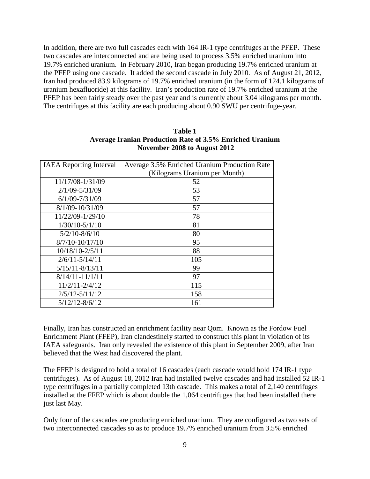In addition, there are two full cascades each with 164 IR-1 type centrifuges at the PFEP. These two cascades are interconnected and are being used to process 3.5% enriched uranium into 19.7% enriched uranium. In February 2010, Iran began producing 19.7% enriched uranium at the PFEP using one cascade. It added the second cascade in July 2010. As of August 21, 2012, Iran had produced 83.9 kilograms of 19.7% enriched uranium (in the form of 124.1 kilograms of uranium hexafluoride) at this facility. Iran's production rate of 19.7% enriched uranium at the PFEP has been fairly steady over the past year and is currently about 3.04 kilograms per month. The centrifuges at this facility are each producing about 0.90 SWU per centrifuge-year.

| Table 1                                                         |  |  |  |
|-----------------------------------------------------------------|--|--|--|
| <b>Average Iranian Production Rate of 3.5% Enriched Uranium</b> |  |  |  |
| November 2008 to August 2012                                    |  |  |  |

| <b>IAEA</b> Reporting Interval | Average 3.5% Enriched Uranium Production Rate |  |  |
|--------------------------------|-----------------------------------------------|--|--|
|                                | (Kilograms Uranium per Month)                 |  |  |
| 11/17/08-1/31/09               | 52                                            |  |  |
| $2/1/09 - 5/31/09$             | 53                                            |  |  |
| $6/1/09 - 7/31/09$             | 57                                            |  |  |
| 8/1/09-10/31/09                | 57                                            |  |  |
| 11/22/09-1/29/10               | 78                                            |  |  |
| $1/30/10-5/1/10$               | 81                                            |  |  |
| $5/2/10 - 8/6/10$              | 80                                            |  |  |
| $8/7/10 - 10/17/10$            | 95                                            |  |  |
| 10/18/10-2/5/11                | 88                                            |  |  |
| $2/6/11 - 5/14/11$             | 105                                           |  |  |
| $5/15/11 - 8/13/11$            | 99                                            |  |  |
| $8/14/11 - 11/1/11$            | 97                                            |  |  |
| $11/2/11 - 2/4/12$             | 115                                           |  |  |
| $2/5/12 - 5/11/12$             | 158                                           |  |  |
| $5/12/12 - 8/6/12$             | 161                                           |  |  |

Finally, Iran has constructed an enrichment facility near Qom. Known as the Fordow Fuel Enrichment Plant (FFEP), Iran clandestinely started to construct this plant in violation of its IAEA safeguards. Iran only revealed the existence of this plant in September 2009, after Iran believed that the West had discovered the plant.

The FFEP is designed to hold a total of 16 cascades (each cascade would hold 174 IR-1 type centrifuges). As of August 18, 2012 Iran had installed twelve cascades and had installed 52 IR-1 type centrifuges in a partially completed 13th cascade. This makes a total of 2,140 centrifuges installed at the FFEP which is about double the 1,064 centrifuges that had been installed there just last May.

Only four of the cascades are producing enriched uranium. They are configured as two sets of two interconnected cascades so as to produce 19.7% enriched uranium from 3.5% enriched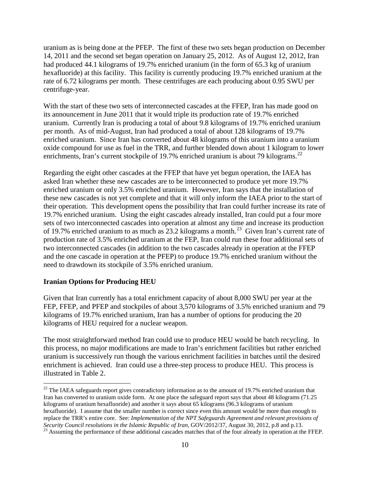uranium as is being done at the PFEP. The first of these two sets began production on December 14, 2011 and the second set began operation on January 25, 2012. As of August 12, 2012, Iran had produced 44.1 kilograms of 19.7% enriched uranium (in the form of 65.3 kg of uranium hexafluoride) at this facility. This facility is currently producing 19.7% enriched uranium at the rate of 6.72 kilograms per month. These centrifuges are each producing about 0.95 SWU per centrifuge-year.

With the start of these two sets of interconnected cascades at the FFEP, Iran has made good on its announcement in June 2011 that it would triple its production rate of 19.7% enriched uranium. Currently Iran is producing a total of about 9.8 kilograms of 19.7% enriched uranium per month. As of mid-August, Iran had produced a total of about 128 kilograms of 19.7% enriched uranium. Since Iran has converted about 48 kilograms of this uranium into a uranium oxide compound for use as fuel in the TRR, and further blended down about 1 kilogram to lower enrichments, Iran's current stockpile of 19.7% enriched uranium is about 79 kilograms.<sup>22</sup>

Regarding the eight other cascades at the FFEP that have yet begun operation, the IAEA has asked Iran whether these new cascades are to be interconnected to produce yet more 19.7% enriched uranium or only 3.5% enriched uranium. However, Iran says that the installation of these new cascades is not yet complete and that it will only inform the IAEA prior to the start of their operation. This development opens the possibility that Iran could further increase its rate of 19.7% enriched uranium. Using the eight cascades already installed, Iran could put a four more sets of two interconnected cascades into operation at almost any time and increase its production of 19.7% enriched uranium to as much as  $23.2$  kilograms a month.<sup>23</sup> Given Iran's current rate of production rate of 3.5% enriched uranium at the FEP, Iran could run these four additional sets of two interconnected cascades (in addition to the two cascades already in operation at the FFEP and the one cascade in operation at the PFEP) to produce 19.7% enriched uranium without the need to drawdown its stockpile of 3.5% enriched uranium.

### **Iranian Options for Producing HEU**

Given that Iran currently has a total enrichment capacity of about 8,000 SWU per year at the FEP, FFEP, and PFEP and stockpiles of about 3,570 kilograms of 3.5% enriched uranium and 79 kilograms of 19.7% enriched uranium, Iran has a number of options for producing the 20 kilograms of HEU required for a nuclear weapon.

The most straightforward method Iran could use to produce HEU would be batch recycling. In this process, no major modifications are made to Iran's enrichment facilities but rather enriched uranium is successively run though the various enrichment facilities in batches until the desired enrichment is achieved. Iran could use a three-step process to produce HEU. This process is illustrated in Table 2.

<span id="page-9-0"></span><sup>&</sup>lt;sup>22</sup> The IAEA safeguards report gives contradictory information as to the amount of 19.7% enriched uranium that Iran has converted to uranium oxide form. At one place the safeguard report says that about 48 kilograms (71.25 kilograms of uranium hexafluoride) and another it says about 65 kilograms (96.3 kilograms of uranium hexafluoride). I assume that the smaller number is correct since even this amount would be more than enough to replace the TRR's entire core. See: *Implementation of the NPT Safeguards Agreement and relevant provisions of Security Council resolutions in the Islamic Republic of Iran, GOV*/2012/37, August 30, 2012, p.8 and p.13.

<span id="page-9-1"></span><sup>&</sup>lt;sup>23</sup> Assuming the performance of these additional cascades matches that of the four already in operation at the FFEP.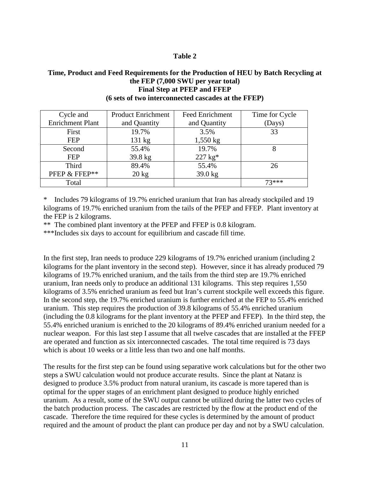### **Table 2**

### **Time, Product and Feed Requirements for the Production of HEU by Batch Recycling at the FEP (7,000 SWU per year total) Final Step at PFEP and FFEP (6 sets of two interconnected cascades at the FFEP)**

| Cycle and               | <b>Product Enrichment</b> | <b>Feed Enrichment</b> | Time for Cycle |
|-------------------------|---------------------------|------------------------|----------------|
| <b>Enrichment Plant</b> | and Quantity              | and Quantity           | (Days)         |
| First                   | 19.7%                     | 3.5%                   | 33             |
| <b>FEP</b>              | $131 \text{ kg}$          | $1,550$ kg             |                |
| Second                  | 55.4%                     | 19.7%                  |                |
| <b>FEP</b>              | 39.8 kg                   | $227 \text{ kg}^*$     |                |
| <b>Third</b>            | 89.4%                     | 55.4%                  | 26             |
| PFEP & FFEP**           | $20 \text{ kg}$           | $39.0$ kg              |                |
| Total                   |                           |                        | $73***$        |

\* Includes 79 kilograms of 19.7% enriched uranium that Iran has already stockpiled and 19 kilograms of 19.7% enriched uranium from the tails of the PFEP and FFEP. Plant inventory at the FEP is 2 kilograms.

\*\* The combined plant inventory at the PFEP and FFEP is 0.8 kilogram.

\*\*\*Includes six days to account for equilibrium and cascade fill time.

In the first step, Iran needs to produce 229 kilograms of 19.7% enriched uranium (including 2 kilograms for the plant inventory in the second step). However, since it has already produced 79 kilograms of 19.7% enriched uranium, and the tails from the third step are 19.7% enriched uranium, Iran needs only to produce an additional 131 kilograms. This step requires 1,550 kilograms of 3.5% enriched uranium as feed but Iran's current stockpile well exceeds this figure. In the second step, the 19.7% enriched uranium is further enriched at the FEP to 55.4% enriched uranium. This step requires the production of 39.8 kilograms of 55.4% enriched uranium (including the 0.8 kilograms for the plant inventory at the PFEP and FFEP). In the third step, the 55.4% enriched uranium is enriched to the 20 kilograms of 89.4% enriched uranium needed for a nuclear weapon. For this last step I assume that all twelve cascades that are installed at the FFEP are operated and function as six interconnected cascades. The total time required is 73 days which is about 10 weeks or a little less than two and one half months.

The results for the first step can be found using separative work calculations but for the other two steps a SWU calculation would not produce accurate results. Since the plant at Natanz is designed to produce 3.5% product from natural uranium, its cascade is more tapered than is optimal for the upper stages of an enrichment plant designed to produce highly enriched uranium. As a result, some of the SWU output cannot be utilized during the latter two cycles of the batch production process. The cascades are restricted by the flow at the product end of the cascade. Therefore the time required for these cycles is determined by the amount of product required and the amount of product the plant can produce per day and not by a SWU calculation.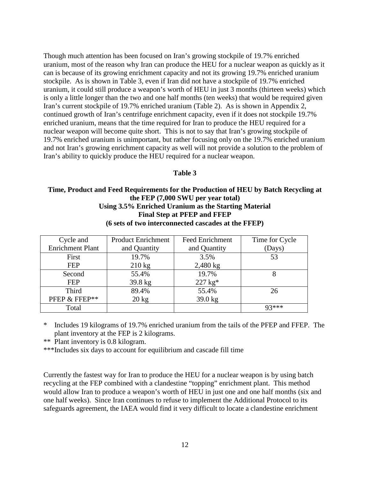Though much attention has been focused on Iran's growing stockpile of 19.7% enriched uranium, most of the reason why Iran can produce the HEU for a nuclear weapon as quickly as it can is because of its growing enrichment capacity and not its growing 19.7% enriched uranium stockpile. As is shown in Table 3, even if Iran did not have a stockpile of 19.7% enriched uranium, it could still produce a weapon's worth of HEU in just 3 months (thirteen weeks) which is only a little longer than the two and one half months (ten weeks) that would be required given Iran's current stockpile of 19.7% enriched uranium (Table 2). As is shown in Appendix 2, continued growth of Iran's centrifuge enrichment capacity, even if it does not stockpile 19.7% enriched uranium, means that the time required for Iran to produce the HEU required for a nuclear weapon will become quite short. This is not to say that Iran's growing stockpile of 19.7% enriched uranium is unimportant, but rather focusing only on the 19.7% enriched uranium and not Iran's growing enrichment capacity as well will not provide a solution to the problem of Iran's ability to quickly produce the HEU required for a nuclear weapon.

#### **Table 3**

### **Time, Product and Feed Requirements for the Production of HEU by Batch Recycling at the FEP (7,000 SWU per year total) Using 3.5% Enriched Uranium as the Starting Material Final Step at PFEP and FFEP (6 sets of two interconnected cascades at the FFEP)**

| Cycle and               | <b>Product Enrichment</b> | <b>Feed Enrichment</b> | Time for Cycle |
|-------------------------|---------------------------|------------------------|----------------|
| <b>Enrichment Plant</b> | and Quantity              | and Quantity           | (Days)         |
| First                   | 19.7%                     | 3.5%                   | 53             |
| <b>FEP</b>              | $210 \text{ kg}$          | $2,480$ kg             |                |
| Second                  | 55.4%                     | 19.7%                  | 8              |
| <b>FEP</b>              | 39.8 kg                   | $227 \text{ kg}^*$     |                |
| Third                   | 89.4%                     | 55.4%                  | 26             |
| PFEP & FFEP**           | $20 \text{ kg}$           | 39.0 kg                |                |
| Total                   |                           |                        | $Q2***$        |

Includes 19 kilograms of 19.7% enriched uranium from the tails of the PFEP and FFEP. The plant inventory at the FEP is 2 kilograms.

\*\* Plant inventory is 0.8 kilogram.

\*\*\*Includes six days to account for equilibrium and cascade fill time

Currently the fastest way for Iran to produce the HEU for a nuclear weapon is by using batch recycling at the FEP combined with a clandestine "topping" enrichment plant. This method would allow Iran to produce a weapon's worth of HEU in just one and one half months (six and one half weeks). Since Iran continues to refuse to implement the Additional Protocol to its safeguards agreement, the IAEA would find it very difficult to locate a clandestine enrichment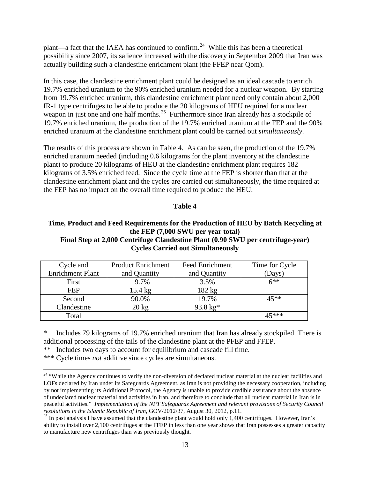plant—a fact that the IAEA has continued to confirm.<sup>24</sup> While this has been a theoretical possibility since 2007, its salience increased with the discovery in September 2009 that Iran was actually building such a clandestine enrichment plant (the FFEP near Qom).

In this case, the clandestine enrichment plant could be designed as an ideal cascade to enrich 19.7% enriched uranium to the 90% enriched uranium needed for a nuclear weapon. By starting from 19.7% enriched uranium, this clandestine enrichment plant need only contain about 2,000 IR-1 type centrifuges to be able to produce the 20 kilograms of HEU required for a nuclear weapon in just one and one half months. $25$  Furthermore since Iran already has a stockpile of 19.7% enriched uranium, the production of the 19.7% enriched uranium at the FEP and the 90% enriched uranium at the clandestine enrichment plant could be carried out *simultaneously*.

The results of this process are shown in Table 4. As can be seen, the production of the 19.7% enriched uranium needed (including 0.6 kilograms for the plant inventory at the clandestine plant) to produce 20 kilograms of HEU at the clandestine enrichment plant requires 182 kilograms of 3.5% enriched feed. Since the cycle time at the FEP is shorter than that at the clandestine enrichment plant and the cycles are carried out simultaneously, the time required at the FEP has no impact on the overall time required to produce the HEU.

## **Table 4**

### **Time, Product and Feed Requirements for the Production of HEU by Batch Recycling at the FEP (7,000 SWU per year total) Final Step at 2,000 Centrifuge Clandestine Plant (0.90 SWU per centrifuge-year) Cycles Carried out Simultaneously**

| Cycle and               | <b>Product Enrichment</b> | <b>Feed Enrichment</b> | Time for Cycle |
|-------------------------|---------------------------|------------------------|----------------|
| <b>Enrichment Plant</b> | and Quantity              | and Quantity           | (Days)         |
| First                   | 19.7%                     | 3.5%                   | $6**$          |
| <b>FEP</b>              | $15.4 \text{ kg}$         | 182 kg                 |                |
| Second                  | 90.0%                     | 19.7%                  | 45**           |
| Clandestine             | $20 \text{ kg}$           | $93.8 \text{ kg}^*$    |                |
| Total                   |                           |                        | ⊿ร∗∗∗          |

Includes 79 kilograms of 19.7% enriched uranium that Iran has already stockpiled. There is additional processing of the tails of the clandestine plant at the PFEP and FFEP.

\*\* Includes two days to account for equilibrium and cascade fill time.

\*\*\* Cycle times *not* additive since cycles are simultaneous.

<span id="page-12-0"></span><sup>&</sup>lt;sup>24</sup> "While the Agency continues to verify the non-diversion of declared nuclear material at the nuclear facilities and LOFs declared by Iran under its Safeguards Agreement, as Iran is not providing the necessary cooperation, including by not implementing its Additional Protocol, the Agency is unable to provide credible assurance about the absence of undeclared nuclear material and activities in Iran, and therefore to conclude that all nuclear material in Iran is in peaceful activities." *Implementation of the NPT Safeguards Agreement and relevant provisions of Security Council* 

<span id="page-12-1"></span><sup>&</sup>lt;sup>25</sup> In past analysis I have assumed that the clandestine plant would hold only 1,400 centrifuges. However, Iran's ability to install over 2,100 centrifuges at the FFEP in less than one year shows that Iran possesses a greater capacity to manufacture new centrifuges than was previously thought.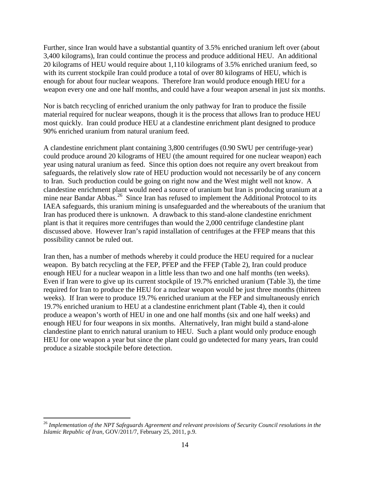Further, since Iran would have a substantial quantity of 3.5% enriched uranium left over (about 3,400 kilograms), Iran could continue the process and produce additional HEU. An additional 20 kilograms of HEU would require about 1,110 kilograms of 3.5% enriched uranium feed, so with its current stockpile Iran could produce a total of over 80 kilograms of HEU, which is enough for about four nuclear weapons. Therefore Iran would produce enough HEU for a weapon every one and one half months, and could have a four weapon arsenal in just six months.

Nor is batch recycling of enriched uranium the only pathway for Iran to produce the fissile material required for nuclear weapons, though it is the process that allows Iran to produce HEU most quickly. Iran could produce HEU at a clandestine enrichment plant designed to produce 90% enriched uranium from natural uranium feed.

A clandestine enrichment plant containing 3,800 centrifuges (0.90 SWU per centrifuge-year) could produce around 20 kilograms of HEU (the amount required for one nuclear weapon) each year using natural uranium as feed. Since this option does not require any overt breakout from safeguards, the relatively slow rate of HEU production would not necessarily be of any concern to Iran. Such production could be going on right now and the West might well not know. A clandestine enrichment plant would need a source of uranium but Iran is producing uranium at a mine near Bandar Abbas.<sup>26</sup> Since Iran has refused to implement the Additional Protocol to its IAEA safeguards, this uranium mining is unsafeguarded and the whereabouts of the uranium that Iran has produced there is unknown. A drawback to this stand-alone clandestine enrichment plant is that it requires more centrifuges than would the 2,000 centrifuge clandestine plant discussed above. However Iran's rapid installation of centrifuges at the FFEP means that this possibility cannot be ruled out.

Iran then, has a number of methods whereby it could produce the HEU required for a nuclear weapon. By batch recycling at the FEP, PFEP and the FFEP (Table 2), Iran could produce enough HEU for a nuclear weapon in a little less than two and one half months (ten weeks). Even if Iran were to give up its current stockpile of 19.7% enriched uranium (Table 3), the time required for Iran to produce the HEU for a nuclear weapon would be just three months (thirteen weeks). If Iran were to produce 19.7% enriched uranium at the FEP and simultaneously enrich 19.7% enriched uranium to HEU at a clandestine enrichment plant (Table 4), then it could produce a weapon's worth of HEU in one and one half months (six and one half weeks) and enough HEU for four weapons in six months. Alternatively, Iran might build a stand-alone clandestine plant to enrich natural uranium to HEU. Such a plant would only produce enough HEU for one weapon a year but since the plant could go undetected for many years, Iran could produce a sizable stockpile before detection.

<span id="page-13-0"></span> <sup>26</sup> *Implementation of the NPT Safeguards Agreement and relevant provisions of Security Council resolutions in the Islamic Republic of Iran*, GOV/2011/7, February 25, 2011, p.9.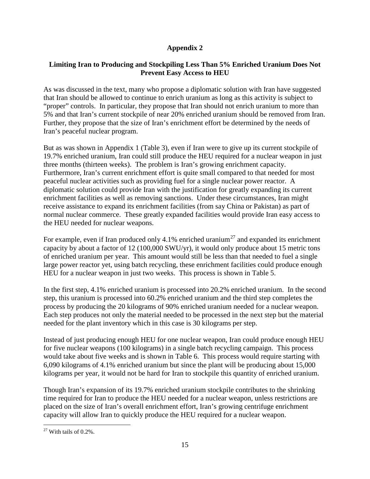# **Appendix 2**

# **Limiting Iran to Producing and Stockpiling Less Than 5% Enriched Uranium Does Not Prevent Easy Access to HEU**

As was discussed in the text, many who propose a diplomatic solution with Iran have suggested that Iran should be allowed to continue to enrich uranium as long as this activity is subject to "proper" controls. In particular, they propose that Iran should not enrich uranium to more than 5% and that Iran's current stockpile of near 20% enriched uranium should be removed from Iran. Further, they propose that the size of Iran's enrichment effort be determined by the needs of Iran's peaceful nuclear program.

But as was shown in Appendix 1 (Table 3), even if Iran were to give up its current stockpile of 19.7% enriched uranium, Iran could still produce the HEU required for a nuclear weapon in just three months (thirteen weeks). The problem is Iran's growing enrichment capacity. Furthermore, Iran's current enrichment effort is quite small compared to that needed for most peaceful nuclear activities such as providing fuel for a single nuclear power reactor. A diplomatic solution could provide Iran with the justification for greatly expanding its current enrichment facilities as well as removing sanctions. Under these circumstances, Iran might receive assistance to expand its enrichment facilities (from say China or Pakistan) as part of normal nuclear commerce. These greatly expanded facilities would provide Iran easy access to the HEU needed for nuclear weapons.

For example, even if Iran produced only 4.1% enriched uranium<sup>[27](#page-14-0)</sup> and expanded its enrichment capacity by about a factor of 12 (100,000 SWU/yr), it would only produce about 15 metric tons of enriched uranium per year. This amount would still be less than that needed to fuel a single large power reactor yet, using batch recycling, these enrichment facilities could produce enough HEU for a nuclear weapon in just two weeks. This process is shown in Table 5.

In the first step, 4.1% enriched uranium is processed into 20.2% enriched uranium. In the second step, this uranium is processed into 60.2% enriched uranium and the third step completes the process by producing the 20 kilograms of 90% enriched uranium needed for a nuclear weapon. Each step produces not only the material needed to be processed in the next step but the material needed for the plant inventory which in this case is 30 kilograms per step.

Instead of just producing enough HEU for one nuclear weapon, Iran could produce enough HEU for five nuclear weapons (100 kilograms) in a single batch recycling campaign. This process would take about five weeks and is shown in Table 6. This process would require starting with 6,090 kilograms of 4.1% enriched uranium but since the plant will be producing about 15,000 kilograms per year, it would not be hard for Iran to stockpile this quantity of enriched uranium.

Though Iran's expansion of its 19.7% enriched uranium stockpile contributes to the shrinking time required for Iran to produce the HEU needed for a nuclear weapon, unless restrictions are placed on the size of Iran's overall enrichment effort, Iran's growing centrifuge enrichment capacity will allow Iran to quickly produce the HEU required for a nuclear weapon.

<span id="page-14-0"></span> $27$  With tails of 0.2%.